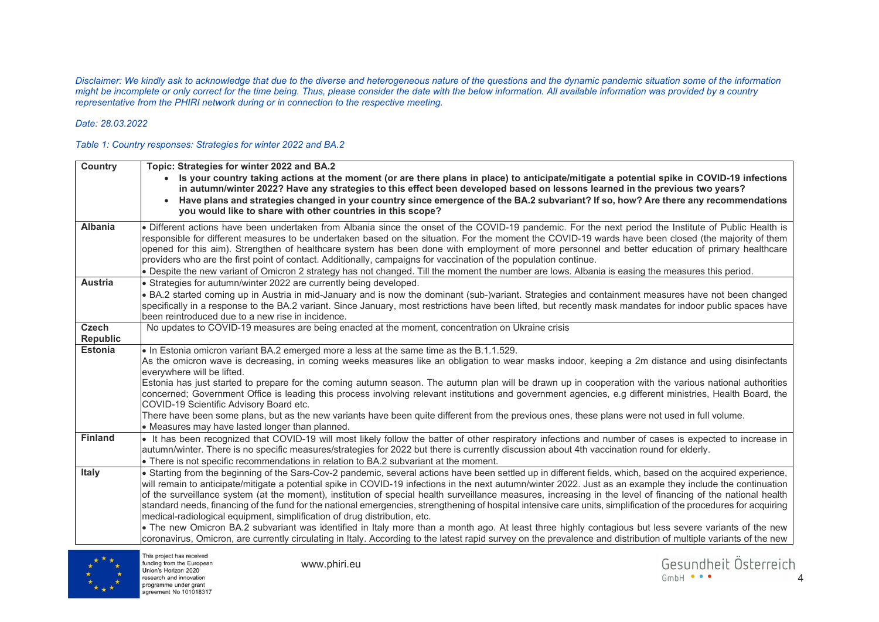*Disclaimer: We kindly ask to acknowledge that due to the diverse and heterogeneous nature of the questions and the dynamic pandemic situation some of the information might be incomplete or only correct for the time being. Thus, please consider the date with the below information. All available information was provided by a country representative from the PHIRI network during or in connection to the respective meeting.* 

## *Date: 28.03.2022*

## *Table 1: Country responses: Strategies for winter 2022 and BA.2*

| Country         | Topic: Strategies for winter 2022 and BA.2<br>Is your country taking actions at the moment (or are there plans in place) to anticipate/mitigate a potential spike in COVID-19 infections<br>in autumn/winter 2022? Have any strategies to this effect been developed based on lessons learned in the previous two years?<br>Have plans and strategies changed in your country since emergence of the BA.2 subvariant? If so, how? Are there any recommendations<br>you would like to share with other countries in this scope?                                                                                                                                                                                                                                                                                                                                                                                                                                                                                                                                                |
|-----------------|-------------------------------------------------------------------------------------------------------------------------------------------------------------------------------------------------------------------------------------------------------------------------------------------------------------------------------------------------------------------------------------------------------------------------------------------------------------------------------------------------------------------------------------------------------------------------------------------------------------------------------------------------------------------------------------------------------------------------------------------------------------------------------------------------------------------------------------------------------------------------------------------------------------------------------------------------------------------------------------------------------------------------------------------------------------------------------|
| <b>Albania</b>  | • Different actions have been undertaken from Albania since the onset of the COVID-19 pandemic. For the next period the Institute of Public Health is<br>responsible for different measures to be undertaken based on the situation. For the moment the COVID-19 wards have been closed (the majority of them<br>opened for this aim). Strengthen of healthcare system has been done with employment of more personnel and better education of primary healthcare<br>providers who are the first point of contact. Additionally, campaigns for vaccination of the population continue.<br>. Despite the new variant of Omicron 2 strategy has not changed. Till the moment the number are lows. Albania is easing the measures this period.                                                                                                                                                                                                                                                                                                                                   |
| <b>Austria</b>  | • Strategies for autumn/winter 2022 are currently being developed.                                                                                                                                                                                                                                                                                                                                                                                                                                                                                                                                                                                                                                                                                                                                                                                                                                                                                                                                                                                                            |
|                 | . BA.2 started coming up in Austria in mid-January and is now the dominant (sub-)variant. Strategies and containment measures have not been changed<br>specifically in a response to the BA.2 variant. Since January, most restrictions have been lifted, but recently mask mandates for indoor public spaces have<br>been reintroduced due to a new rise in incidence.                                                                                                                                                                                                                                                                                                                                                                                                                                                                                                                                                                                                                                                                                                       |
| <b>Czech</b>    | No updates to COVID-19 measures are being enacted at the moment, concentration on Ukraine crisis                                                                                                                                                                                                                                                                                                                                                                                                                                                                                                                                                                                                                                                                                                                                                                                                                                                                                                                                                                              |
| <b>Republic</b> |                                                                                                                                                                                                                                                                                                                                                                                                                                                                                                                                                                                                                                                                                                                                                                                                                                                                                                                                                                                                                                                                               |
| <b>Estonia</b>  | • In Estonia omicron variant BA.2 emerged more a less at the same time as the B.1.1.529.<br>As the omicron wave is decreasing, in coming weeks measures like an obligation to wear masks indoor, keeping a 2m distance and using disinfectants<br>everywhere will be lifted.<br>Estonia has just started to prepare for the coming autumn season. The autumn plan will be drawn up in cooperation with the various national authorities<br>concerned; Government Office is leading this process involving relevant institutions and government agencies, e.g different ministries, Health Board, the                                                                                                                                                                                                                                                                                                                                                                                                                                                                          |
|                 | COVID-19 Scientific Advisory Board etc.<br>There have been some plans, but as the new variants have been quite different from the previous ones, these plans were not used in full volume.<br>• Measures may have lasted longer than planned.                                                                                                                                                                                                                                                                                                                                                                                                                                                                                                                                                                                                                                                                                                                                                                                                                                 |
| <b>Finland</b>  | If has been recognized that COVID-19 will most likely follow the batter of other respiratory infections and number of cases is expected to increase in<br>autumn/winter. There is no specific measures/strategies for 2022 but there is currently discussion about 4th vaccination round for elderly.<br>• There is not specific recommendations in relation to BA.2 subvariant at the moment.                                                                                                                                                                                                                                                                                                                                                                                                                                                                                                                                                                                                                                                                                |
| <b>Italy</b>    | . Starting from the beginning of the Sars-Cov-2 pandemic, several actions have been settled up in different fields, which, based on the acquired experience,<br>will remain to anticipate/mitigate a potential spike in COVID-19 infections in the next autumn/winter 2022. Just as an example they include the continuation<br>of the surveillance system (at the moment), institution of special health surveillance measures, increasing in the level of financing of the national health<br>standard needs, financing of the fund for the national emergencies, strengthening of hospital intensive care units, simplification of the procedures for acquiring<br>medical-radiological equipment, simplification of drug distribution, etc.<br>• The new Omicron BA.2 subvariant was identified in Italy more than a month ago. At least three highly contagious but less severe variants of the new<br>coronavirus, Omicron, are currently circulating in Italy. According to the latest rapid survey on the prevalence and distribution of multiple variants of the new |